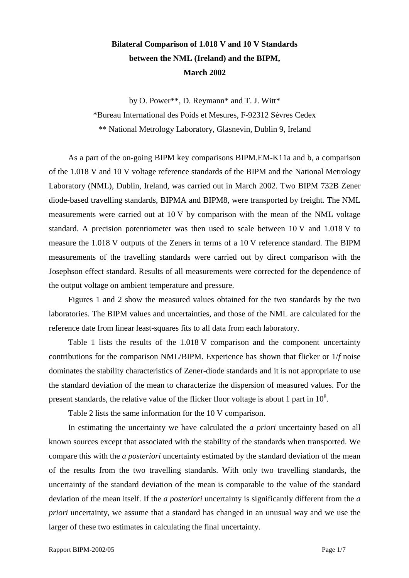## **Bilateral Comparison of 1.018 V and 10 V Standards between the NML (Ireland) and the BIPM, March 2002**

by O. Power\*\*, D. Reymann\* and T. J. Witt\* \*Bureau International des Poids et Mesures, F-92312 Sèvres Cedex \*\* National Metrology Laboratory, Glasnevin, Dublin 9, Ireland

As a part of the on-going BIPM key comparisons BIPM.EM-K11a and b, a comparison of the 1.018 V and 10 V voltage reference standards of the BIPM and the National Metrology Laboratory (NML), Dublin, Ireland, was carried out in March 2002. Two BIPM 732B Zener diode-based travelling standards, BIPMA and BIPM8, were transported by freight. The NML measurements were carried out at 10 V by comparison with the mean of the NML voltage standard. A precision potentiometer was then used to scale between 10 V and 1.018 V to measure the 1.018 V outputs of the Zeners in terms of a 10 V reference standard. The BIPM measurements of the travelling standards were carried out by direct comparison with the Josephson effect standard. Results of all measurements were corrected for the dependence of the output voltage on ambient temperature and pressure.

Figures 1 and 2 show the measured values obtained for the two standards by the two laboratories. The BIPM values and uncertainties, and those of the NML are calculated for the reference date from linear least-squares fits to all data from each laboratory.

Table 1 lists the results of the 1.018 V comparison and the component uncertainty contributions for the comparison NML/BIPM. Experience has shown that flicker or 1/*f* noise dominates the stability characteristics of Zener-diode standards and it is not appropriate to use the standard deviation of the mean to characterize the dispersion of measured values. For the present standards, the relative value of the flicker floor voltage is about 1 part in  $10^8$ .

Table 2 lists the same information for the 10 V comparison.

In estimating the uncertainty we have calculated the *a priori* uncertainty based on all known sources except that associated with the stability of the standards when transported. We compare this with the *a posteriori* uncertainty estimated by the standard deviation of the mean of the results from the two travelling standards. With only two travelling standards, the uncertainty of the standard deviation of the mean is comparable to the value of the standard deviation of the mean itself. If the *a posteriori* uncertainty is significantly different from the *a priori* uncertainty, we assume that a standard has changed in an unusual way and we use the larger of these two estimates in calculating the final uncertainty.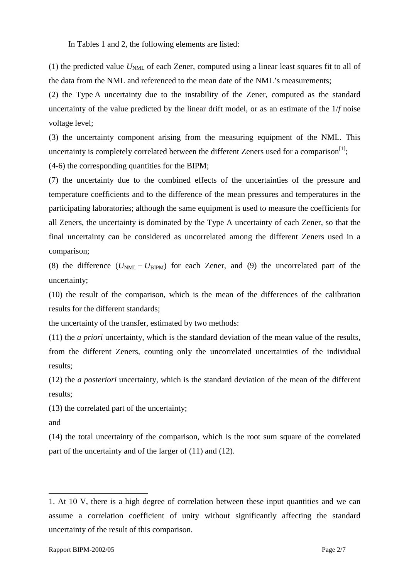In Tables 1 and 2, the following elements are listed:

(1) the predicted value  $U_{NML}$  of each Zener, computed using a linear least squares fit to all of the data from the NML and referenced to the mean date of the NML's measurements;

(2) the Type A uncertainty due to the instability of the Zener, computed as the standard uncertainty of the value predicted by the linear drift model, or as an estimate of the 1/*f* noise voltage level;

(3) the uncertainty component arising from the measuring equipment of the NML. This uncertainty is completely correlated between the different Zeners used for a comparison<sup>[1]</sup>;

(4-6) the corresponding quantities for the BIPM;

(7) the uncertainty due to the combined effects of the uncertainties of the pressure and temperature coefficients and to the difference of the mean pressures and temperatures in the participating laboratories; although the same equipment is used to measure the coefficients for all Zeners, the uncertainty is dominated by the Type A uncertainty of each Zener, so that the final uncertainty can be considered as uncorrelated among the different Zeners used in a comparison;

(8) the difference  $(U_{NML} - U_{BIPM})$  for each Zener, and (9) the uncorrelated part of the uncertainty;

(10) the result of the comparison, which is the mean of the differences of the calibration results for the different standards;

the uncertainty of the transfer, estimated by two methods:

(11) the *a priori* uncertainty, which is the standard deviation of the mean value of the results, from the different Zeners, counting only the uncorrelated uncertainties of the individual results;

(12) the *a posteriori* uncertainty, which is the standard deviation of the mean of the different results;

(13) the correlated part of the uncertainty;

and

 $\overline{a}$ 

(14) the total uncertainty of the comparison, which is the root sum square of the correlated part of the uncertainty and of the larger of (11) and (12).

<sup>1.</sup> At 10 V, there is a high degree of correlation between these input quantities and we can assume a correlation coefficient of unity without significantly affecting the standard uncertainty of the result of this comparison.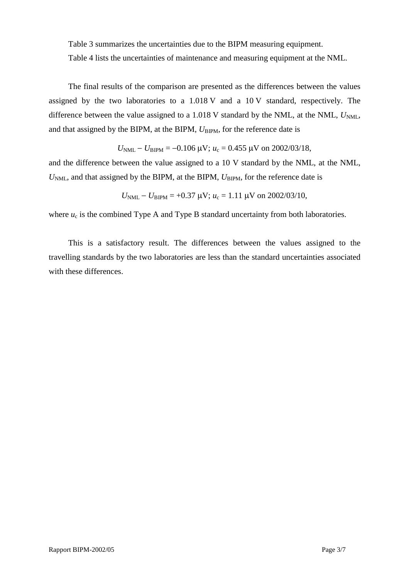Table 3 summarizes the uncertainties due to the BIPM measuring equipment.

Table 4 lists the uncertainties of maintenance and measuring equipment at the NML.

The final results of the comparison are presented as the differences between the values assigned by the two laboratories to a 1.018 V and a 10 V standard, respectively. The difference between the value assigned to a 1.018 V standard by the NML, at the NML,  $U_{NML}$ , and that assigned by the BIPM, at the BIPM,  $U_{\text{BIPM}}$ , for the reference date is

$$
U_{\text{NML}} - U_{\text{BIPM}} = -0.106 \,\mu\text{V}; u_c = 0.455 \,\mu\text{V}
$$
 on 2002/03/18,

and the difference between the value assigned to a 10 V standard by the NML, at the NML,  $U<sub>NMI</sub>$ , and that assigned by the BIPM, at the BIPM,  $U<sub>BIPM</sub>$ , for the reference date is

$$
U_{\text{NML}} - U_{\text{BIPM}} = +0.37 \text{ }\mu\text{V}; u_c = 1.11 \text{ }\mu\text{V} \text{ on } 2002/03/10,
$$

where  $u_c$  is the combined Type A and Type B standard uncertainty from both laboratories.

This is a satisfactory result. The differences between the values assigned to the travelling standards by the two laboratories are less than the standard uncertainties associated with these differences.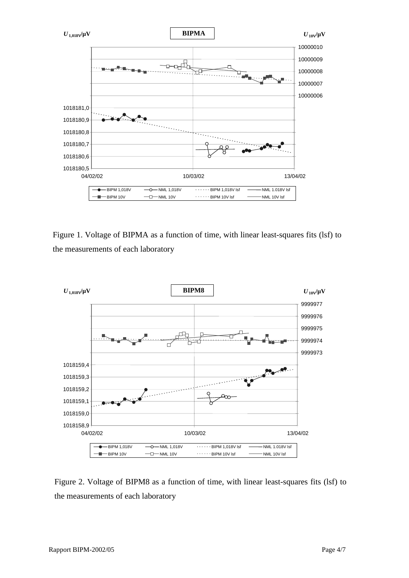

Figure 1. Voltage of BIPMA as a function of time, with linear least-squares fits (lsf) to the measurements of each laboratory



Figure 2. Voltage of BIPM8 as a function of time, with linear least-squares fits (lsf) to the measurements of each laboratory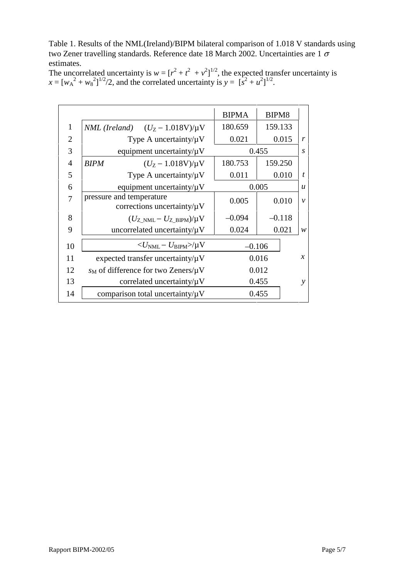Table 1. Results of the NML(Ireland)/BIPM bilateral comparison of 1.018 V standards using two Zener travelling standards. Reference date 18 March 2002. Uncertainties are 1  $\sigma$ estimates.

The uncorrelated uncertainty is  $w = [r^2 + t^2 + v^2]^{1/2}$ , the expected transfer uncertainty is  $x = [w_A^2 + w_8^2]^{1/2}$ , and the correlated uncertainty is  $y = [s^2 + u^2]^{1/2}$ .

|                |                                                              | <b>BIPMA</b> | BIPM8    |                  |
|----------------|--------------------------------------------------------------|--------------|----------|------------------|
| 1              | NML (Ireland) $(U_Z - 1.018V)/\mu V$                         | 180.659      | 159.133  |                  |
| $\overline{2}$ | Type A uncertainty/ $\mu$ V                                  | 0.021        | 0.015    | r                |
| 3              | equipment uncertainty/ $\mu$ V                               | 0.455        |          | S                |
| 4              | $(U_Z - 1.018V)/\mu V$<br><b>BIPM</b>                        | 180.753      | 159.250  |                  |
| 5              | Type A uncertainty/ $\mu$ V                                  | 0.011        | 0.010    | t                |
| 6              | equipment uncertainty/ $\mu$ V                               | 0.005        |          | $\boldsymbol{u}$ |
| 7              | pressure and temperature<br>corrections uncertainty/ $\mu$ V | 0.005        | 0.010    | $\mathcal{V}$    |
| 8              | $(U_{Z>NML}-U_{Z-BIPM})/\mu V$                               | $-0.094$     | $-0.118$ |                  |
| 9              | uncorrelated uncertainty/ $\mu$ V                            | 0.024        | 0.021    | w                |
| 10             | $<\!\!U_{\rm NML} - U_{\rm BIPM} \!\!>\!\!/\mu{\rm V}$       | $-0.106$     |          |                  |
| 11             | expected transfer uncertainty/ $\mu$ V                       |              | 0.016    | $\chi$           |
| 12             | $s_M$ of difference for two Zeners/ $\mu$ V                  |              | 0.012    |                  |
| 13             | correlated uncertainty/ $\mu$ V                              |              | 0.455    | ν                |
| 14             | comparison total uncertainty/ $\mu$ V                        |              | 0.455    |                  |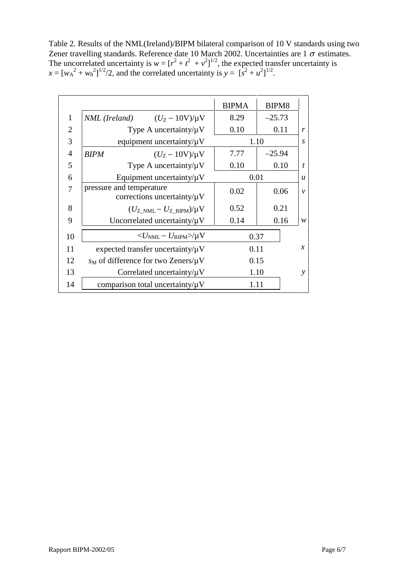Table 2. Results of the NML(Ireland)/BIPM bilateral comparison of 10 V standards using two Zener travelling standards. Reference date 10 March 2002. Uncertainties are 1  $\sigma$  estimates. The uncorrelated uncertainty is  $w = [r^2 + t^2 + v^2]^{1/2}$ , the expected transfer uncertainty is  $x = [w_A^2 + w_8^2]^{1/2} / 2$ , and the correlated uncertainty is  $y = [s^2 + u^2]^{1/2}$ .

|                                                              | <b>BIPMA</b> | BIPM8    |                                      |
|--------------------------------------------------------------|--------------|----------|--------------------------------------|
| <i>NML</i> ( <i>Ireland</i> ) $(U_Z - 10V)/\mu V$            | 8.29         | $-25.73$ |                                      |
| Type A uncertainty/ $\mu$ V                                  | 0.10         | 0.11     | r                                    |
| equipment uncertainty/ $\mu$ V                               | 1.10         |          | $\overline{S}$                       |
| $(U_{Z} - 10V)/\mu V$<br><b>BIPM</b>                         | 7.77         | $-25.94$ |                                      |
| Type A uncertainty/ $\mu$ V                                  | 0.10         | 0.10     | $\boldsymbol{t}$                     |
| Equipment uncertainty/ $\mu$ V                               | 0.01         |          | $\boldsymbol{u}$                     |
| pressure and temperature<br>corrections uncertainty/ $\mu$ V | 0.02         | 0.06     | $\mathcal{V}$                        |
| $(U_{Z>NML}-U_{ZBIPM})/\mu V$                                | 0.52         | 0.21     |                                      |
| Uncorrelated uncertainty/ $\mu$ V                            | 0.14         | 0.16     | W                                    |
| $\langle U_{\rm NMI} - U_{\rm RIPM} \rangle / \mu V$         |              |          |                                      |
| expected transfer uncertainty/ $\mu$ V                       |              |          | $\mathcal{X}$                        |
| $s_M$ of difference for two Zeners/ $\mu$ V                  |              |          |                                      |
| Correlated uncertainty/ $\mu$ V                              |              |          | y                                    |
| comparison total uncertainty/ $\mu$ V                        |              |          |                                      |
|                                                              |              |          | 0.37<br>0.11<br>0.15<br>1.10<br>1.11 |